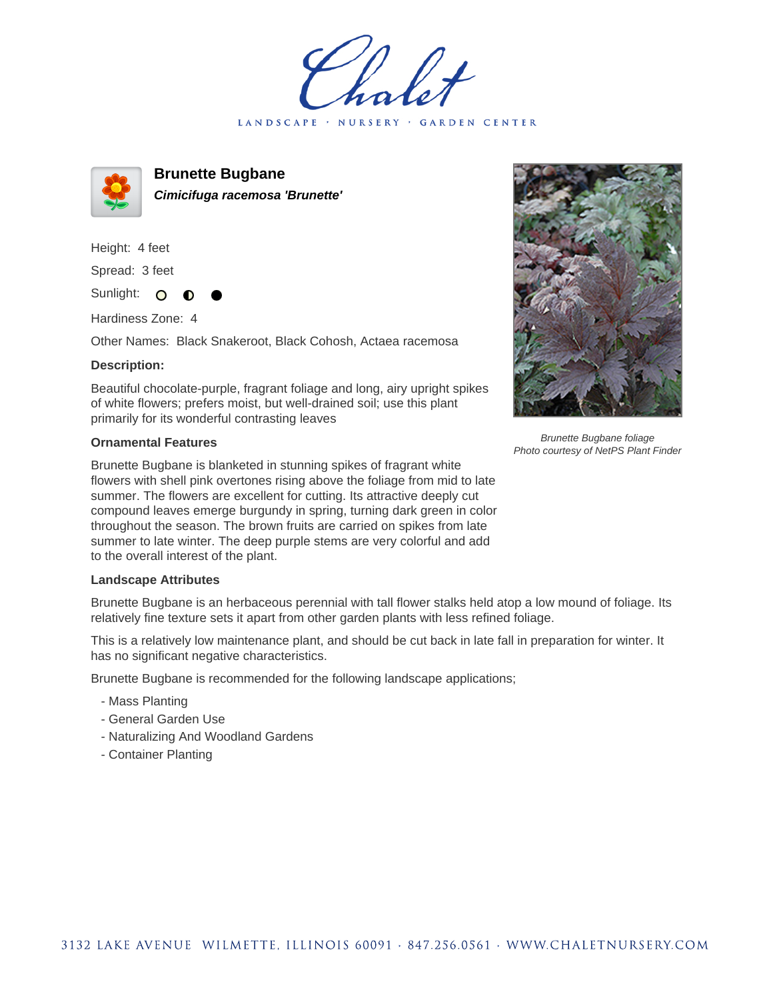LANDSCAPE · NURSERY · GARDEN CENTER



**Brunette Bugbane Cimicifuga racemosa 'Brunette'**

Height: 4 feet Spread: 3 feet

Sunlight: O

Hardiness Zone: 4

Other Names: Black Snakeroot, Black Cohosh, Actaea racemosa

## **Description:**

Beautiful chocolate-purple, fragrant foliage and long, airy upright spikes of white flowers; prefers moist, but well-drained soil; use this plant primarily for its wonderful contrasting leaves

## **Ornamental Features**

Brunette Bugbane is blanketed in stunning spikes of fragrant white flowers with shell pink overtones rising above the foliage from mid to late summer. The flowers are excellent for cutting. Its attractive deeply cut compound leaves emerge burgundy in spring, turning dark green in color throughout the season. The brown fruits are carried on spikes from late summer to late winter. The deep purple stems are very colorful and add to the overall interest of the plant.

## **Landscape Attributes**

Brunette Bugbane is an herbaceous perennial with tall flower stalks held atop a low mound of foliage. Its relatively fine texture sets it apart from other garden plants with less refined foliage.

This is a relatively low maintenance plant, and should be cut back in late fall in preparation for winter. It has no significant negative characteristics.

Brunette Bugbane is recommended for the following landscape applications;

- Mass Planting
- General Garden Use
- Naturalizing And Woodland Gardens
- Container Planting



Brunette Bugbane foliage Photo courtesy of NetPS Plant Finder